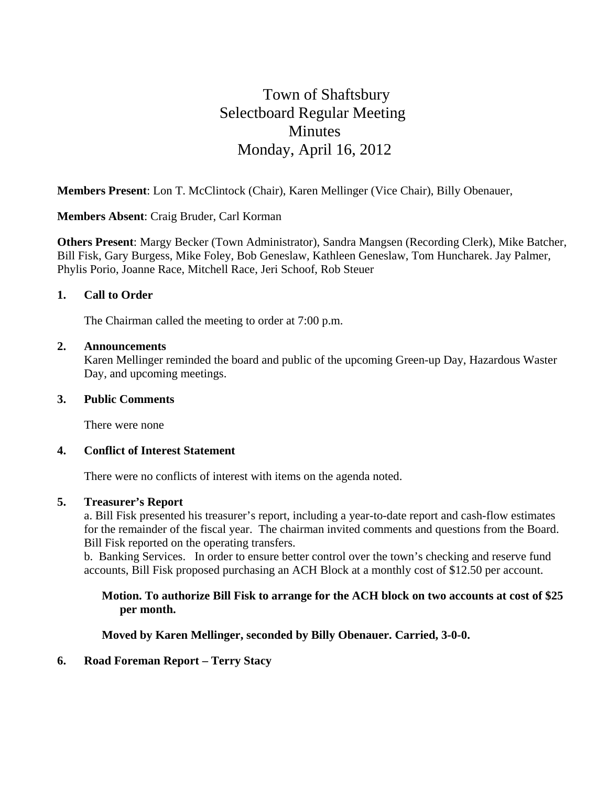# Town of Shaftsbury Selectboard Regular Meeting **Minutes** Monday, April 16, 2012

**Members Present**: Lon T. McClintock (Chair), Karen Mellinger (Vice Chair), Billy Obenauer,

**Members Absent**: Craig Bruder, Carl Korman

**Others Present**: Margy Becker (Town Administrator), Sandra Mangsen (Recording Clerk), Mike Batcher, Bill Fisk, Gary Burgess, Mike Foley, Bob Geneslaw, Kathleen Geneslaw, Tom Huncharek. Jay Palmer, Phylis Porio, Joanne Race, Mitchell Race, Jeri Schoof, Rob Steuer

## **1. Call to Order**

The Chairman called the meeting to order at 7:00 p.m.

## **2. Announcements**

Karen Mellinger reminded the board and public of the upcoming Green-up Day, Hazardous Waster Day, and upcoming meetings.

#### **3. Public Comments**

There were none

## **4. Conflict of Interest Statement**

There were no conflicts of interest with items on the agenda noted.

## **5. Treasurer's Report**

a. Bill Fisk presented his treasurer's report, including a year-to-date report and cash-flow estimates for the remainder of the fiscal year. The chairman invited comments and questions from the Board. Bill Fisk reported on the operating transfers.

b. Banking Services. In order to ensure better control over the town's checking and reserve fund accounts, Bill Fisk proposed purchasing an ACH Block at a monthly cost of \$12.50 per account.

## **Motion. To authorize Bill Fisk to arrange for the ACH block on two accounts at cost of \$25 per month.**

**Moved by Karen Mellinger, seconded by Billy Obenauer. Carried, 3-0-0.**

## **6. Road Foreman Report – Terry Stacy**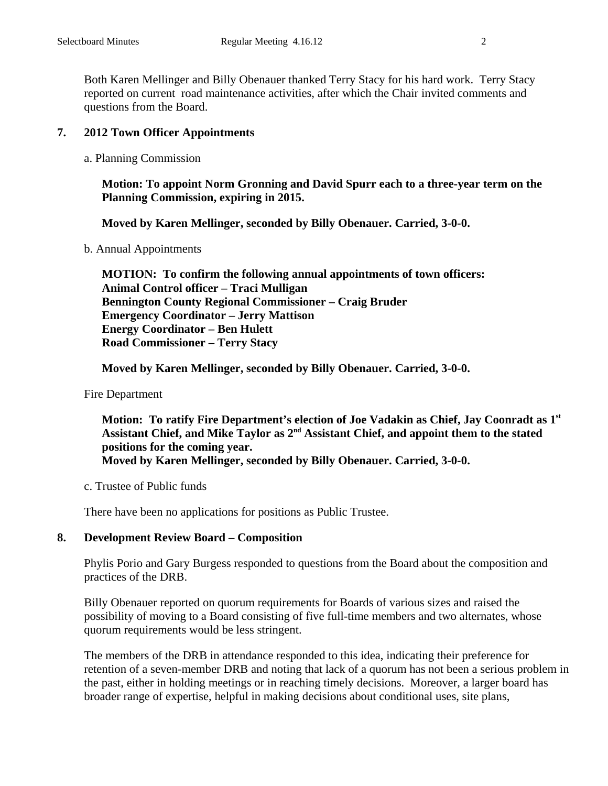Both Karen Mellinger and Billy Obenauer thanked Terry Stacy for his hard work. Terry Stacy reported on current road maintenance activities, after which the Chair invited comments and questions from the Board.

## **7. 2012 Town Officer Appointments**

a. Planning Commission

**Motion: To appoint Norm Gronning and David Spurr each to a three-year term on the Planning Commission, expiring in 2015.** 

**Moved by Karen Mellinger, seconded by Billy Obenauer. Carried, 3-0-0.** 

b. Annual Appointments

**MOTION: To confirm the following annual appointments of town officers: Animal Control officer – Traci Mulligan Bennington County Regional Commissioner – Craig Bruder Emergency Coordinator – Jerry Mattison Energy Coordinator – Ben Hulett Road Commissioner – Terry Stacy** 

**Moved by Karen Mellinger, seconded by Billy Obenauer. Carried, 3-0-0.** 

Fire Department

**Motion: To ratify Fire Department's election of Joe Vadakin as Chief, Jay Coonradt as 1st**  Assistant Chief, and Mike Taylor as 2<sup>nd</sup> Assistant Chief, and appoint them to the stated **positions for the coming year. Moved by Karen Mellinger, seconded by Billy Obenauer. Carried, 3-0-0.**

c. Trustee of Public funds

There have been no applications for positions as Public Trustee.

## **8. Development Review Board – Composition**

Phylis Porio and Gary Burgess responded to questions from the Board about the composition and practices of the DRB.

Billy Obenauer reported on quorum requirements for Boards of various sizes and raised the possibility of moving to a Board consisting of five full-time members and two alternates, whose quorum requirements would be less stringent.

The members of the DRB in attendance responded to this idea, indicating their preference for retention of a seven-member DRB and noting that lack of a quorum has not been a serious problem in the past, either in holding meetings or in reaching timely decisions. Moreover, a larger board has broader range of expertise, helpful in making decisions about conditional uses, site plans,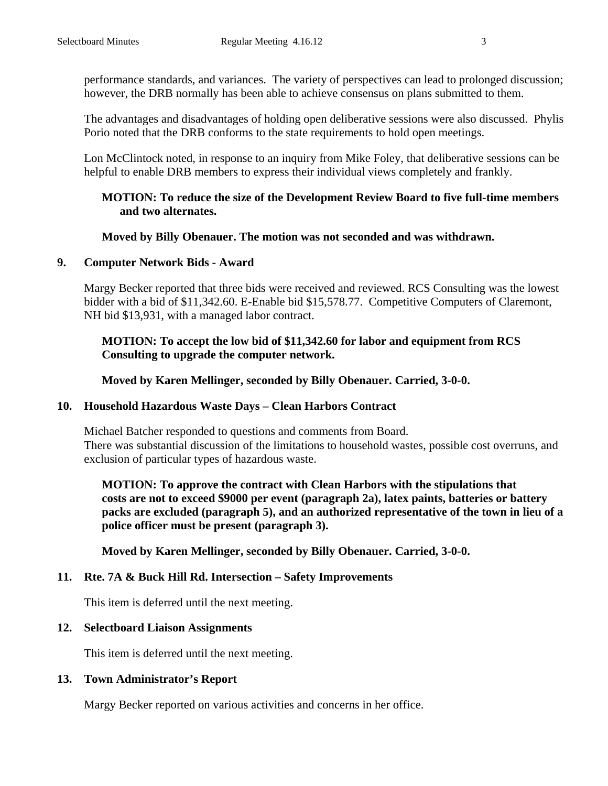performance standards, and variances. The variety of perspectives can lead to prolonged discussion; however, the DRB normally has been able to achieve consensus on plans submitted to them.

The advantages and disadvantages of holding open deliberative sessions were also discussed. Phylis Porio noted that the DRB conforms to the state requirements to hold open meetings.

Lon McClintock noted, in response to an inquiry from Mike Foley, that deliberative sessions can be helpful to enable DRB members to express their individual views completely and frankly.

## **MOTION: To reduce the size of the Development Review Board to five full-time members and two alternates.**

## **Moved by Billy Obenauer. The motion was not seconded and was withdrawn.**

## **9. Computer Network Bids - Award**

Margy Becker reported that three bids were received and reviewed. RCS Consulting was the lowest bidder with a bid of \$11,342.60. E-Enable bid \$15,578.77. Competitive Computers of Claremont, NH bid \$13,931, with a managed labor contract.

# **MOTION: To accept the low bid of \$11,342.60 for labor and equipment from RCS Consulting to upgrade the computer network.**

**Moved by Karen Mellinger, seconded by Billy Obenauer. Carried, 3-0-0.**

## **10. Household Hazardous Waste Days – Clean Harbors Contract**

Michael Batcher responded to questions and comments from Board. There was substantial discussion of the limitations to household wastes, possible cost overruns, and exclusion of particular types of hazardous waste.

**MOTION: To approve the contract with Clean Harbors with the stipulations that costs are not to exceed \$9000 per event (paragraph 2a), latex paints, batteries or battery packs are excluded (paragraph 5), and an authorized representative of the town in lieu of a police officer must be present (paragraph 3).** 

**Moved by Karen Mellinger, seconded by Billy Obenauer. Carried, 3-0-0.**

# **11. Rte. 7A & Buck Hill Rd. Intersection – Safety Improvements**

This item is deferred until the next meeting.

# **12. Selectboard Liaison Assignments**

This item is deferred until the next meeting.

# **13. Town Administrator's Report**

Margy Becker reported on various activities and concerns in her office.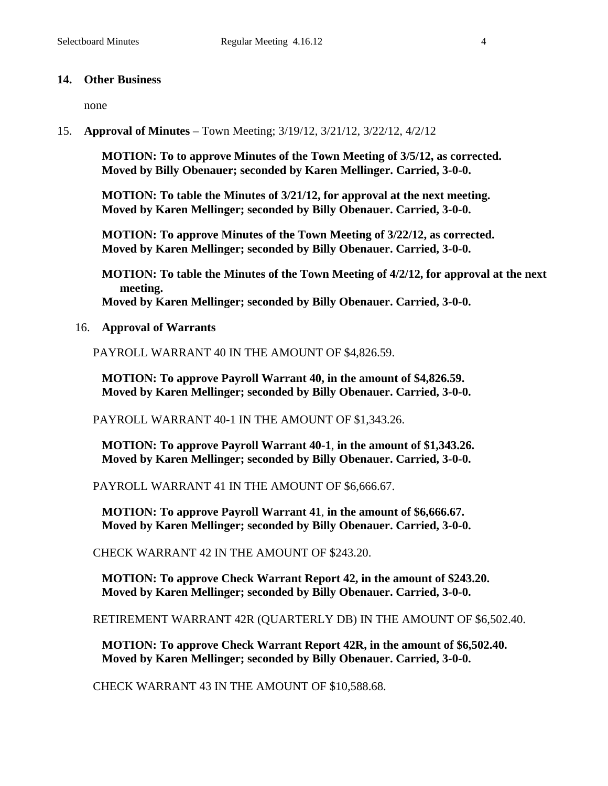## **14. Other Business**

none

15. **Approval of Minutes** – Town Meeting; 3/19/12, 3/21/12, 3/22/12, 4/2/12

**MOTION: To to approve Minutes of the Town Meeting of 3/5/12, as corrected. Moved by Billy Obenauer; seconded by Karen Mellinger. Carried, 3-0-0.**

**MOTION: To table the Minutes of 3/21/12, for approval at the next meeting. Moved by Karen Mellinger; seconded by Billy Obenauer. Carried, 3-0-0.**

**MOTION: To approve Minutes of the Town Meeting of 3/22/12, as corrected. Moved by Karen Mellinger; seconded by Billy Obenauer. Carried, 3-0-0.**

**MOTION: To table the Minutes of the Town Meeting of 4/2/12, for approval at the next meeting. Moved by Karen Mellinger; seconded by Billy Obenauer. Carried, 3-0-0.**

16. **Approval of Warrants**

PAYROLL WARRANT 40 IN THE AMOUNT OF \$4,826.59.

**MOTION: To approve Payroll Warrant 40, in the amount of \$4,826.59. Moved by Karen Mellinger; seconded by Billy Obenauer. Carried, 3-0-0.**

PAYROLL WARRANT 40-1 IN THE AMOUNT OF \$1,343.26.

**MOTION: To approve Payroll Warrant 40-1**, **in the amount of \$1,343.26. Moved by Karen Mellinger; seconded by Billy Obenauer. Carried, 3-0-0.**

PAYROLL WARRANT 41 IN THE AMOUNT OF \$6,666.67.

**MOTION: To approve Payroll Warrant 41**, **in the amount of \$6,666.67. Moved by Karen Mellinger; seconded by Billy Obenauer. Carried, 3-0-0.**

CHECK WARRANT 42 IN THE AMOUNT OF \$243.20.

**MOTION: To approve Check Warrant Report 42, in the amount of \$243.20. Moved by Karen Mellinger; seconded by Billy Obenauer. Carried, 3-0-0.**

RETIREMENT WARRANT 42R (QUARTERLY DB) IN THE AMOUNT OF \$6,502.40.

**MOTION: To approve Check Warrant Report 42R, in the amount of \$6,502.40. Moved by Karen Mellinger; seconded by Billy Obenauer. Carried, 3-0-0.**

CHECK WARRANT 43 IN THE AMOUNT OF \$10,588.68.